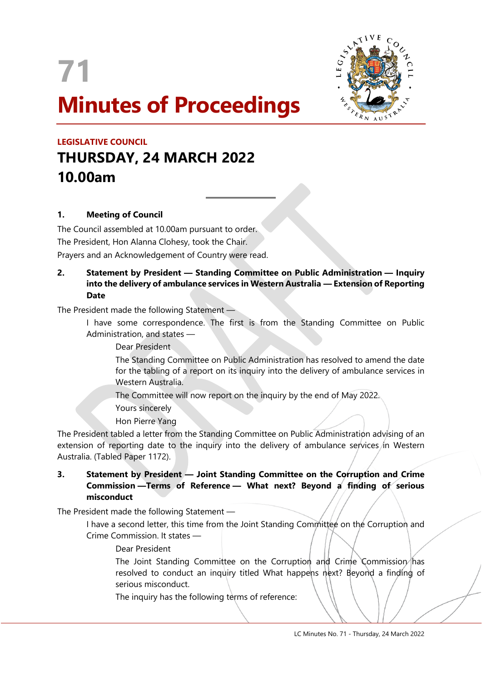

 $\overline{a}$ 



# **LEGISLATIVE COUNCIL THURSDAY, 24 MARCH 2022 10.00am**

## **1. Meeting of Council**

The Council assembled at 10.00am pursuant to order. The President, Hon Alanna Clohesy, took the Chair. Prayers and an Acknowledgement of Country were read.

#### **2. Statement by President — Standing Committee on Public Administration — Inquiry into the delivery of ambulance services in Western Australia — Extension of Reporting Date**

The President made the following Statement —

I have some correspondence. The first is from the Standing Committee on Public Administration, and states —

Dear President

The Standing Committee on Public Administration has resolved to amend the date for the tabling of a report on its inquiry into the delivery of ambulance services in Western Australia.

The Committee will now report on the inquiry by the end of May 2022.

Yours sincerely

Hon Pierre Yang

The President tabled a letter from the Standing Committee on Public Administration advising of an extension of reporting date to the inquiry into the delivery of ambulance services in Western Australia. (Tabled Paper 1172).

## **3. Statement by President — Joint Standing Committee on the Corruption and Crime Commission —Terms of Reference — What next? Beyond a finding of serious misconduct**

The President made the following Statement —

I have a second letter, this time from the Joint Standing Committee on the Corruption and Crime Commission. It states —

#### Dear President

The Joint Standing Committee on the Corruption and Crime Commission has resolved to conduct an inquiry titled What happens next? Beyond a finding of serious misconduct.

The inquiry has the following terms of reference: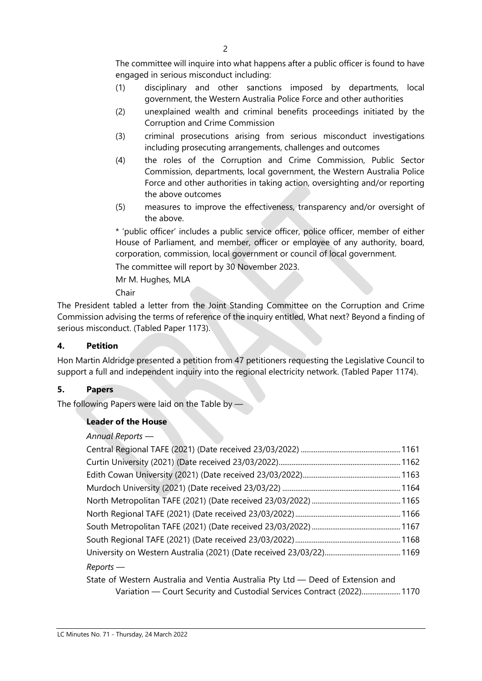The committee will inquire into what happens after a public officer is found to have engaged in serious misconduct including:

- (1) disciplinary and other sanctions imposed by departments, local government, the Western Australia Police Force and other authorities
- (2) unexplained wealth and criminal benefits proceedings initiated by the Corruption and Crime Commission
- (3) criminal prosecutions arising from serious misconduct investigations including prosecuting arrangements, challenges and outcomes
- (4) the roles of the Corruption and Crime Commission, Public Sector Commission, departments, local government, the Western Australia Police Force and other authorities in taking action, oversighting and/or reporting the above outcomes
- (5) measures to improve the effectiveness, transparency and/or oversight of the above.

\* 'public officer' includes a public service officer, police officer, member of either House of Parliament, and member, officer or employee of any authority, board, corporation, commission, local government or council of local government.

The committee will report by 30 November 2023.

Mr M. Hughes, MLA

Chair

The President tabled a letter from the Joint Standing Committee on the Corruption and Crime Commission advising the terms of reference of the inquiry entitled, What next? Beyond a finding of serious misconduct. (Tabled Paper 1173).

# **4. Petition**

Hon Martin Aldridge presented a petition from 47 petitioners requesting the Legislative Council to support a full and independent inquiry into the regional electricity network. (Tabled Paper 1174).

## **5. Papers**

The following Papers were laid on the Table by -

# **Leader of the House**

## *Annual Reports* —

| Reports —                                                                       |  |
|---------------------------------------------------------------------------------|--|
| State of Western Australia and Ventia Australia Pty Ltd — Deed of Extension and |  |

Variation — Court Security and Custodial Services Contract (2022).....................1170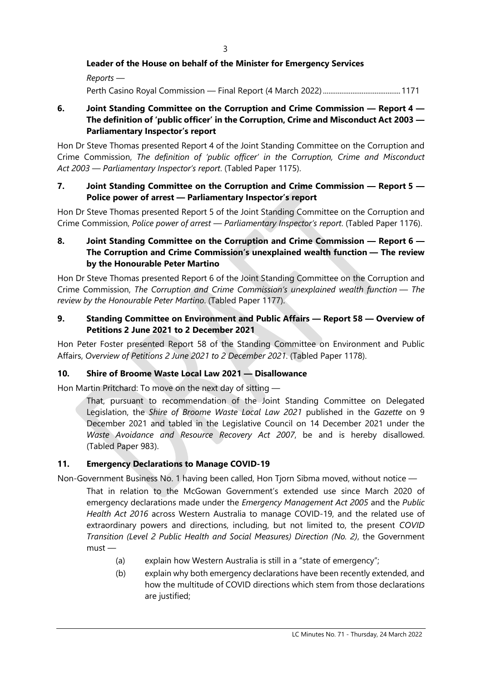#### **Leader of the House on behalf of the Minister for Emergency Services**

*Reports —* Perth Casino Royal Commission — Final Report (4 March 2022)..........................................1171

## **6. Joint Standing Committee on the Corruption and Crime Commission — Report 4 — The definition of 'public officer' in the Corruption, Crime and Misconduct Act 2003 — Parliamentary Inspector's report**

Hon Dr Steve Thomas presented Report 4 of the Joint Standing Committee on the Corruption and Crime Commission, *The definition of 'public officer' in the Corruption, Crime and Misconduct Act 2003 — Parliamentary Inspector's report*. (Tabled Paper 1175).

#### **7. Joint Standing Committee on the Corruption and Crime Commission — Report 5 — Police power of arrest — Parliamentary Inspector's report**

Hon Dr Steve Thomas presented Report 5 of the Joint Standing Committee on the Corruption and Crime Commission, *Police power of arrest — Parliamentary Inspector's report*. (Tabled Paper 1176).

## **8. Joint Standing Committee on the Corruption and Crime Commission — Report 6 — The Corruption and Crime Commission's unexplained wealth function — The review by the Honourable Peter Martino**

Hon Dr Steve Thomas presented Report 6 of the Joint Standing Committee on the Corruption and Crime Commission, *The Corruption and Crime Commission's unexplained wealth function — The review by the Honourable Peter Martino*. (Tabled Paper 1177).

#### **9. Standing Committee on Environment and Public Affairs — Report 58 — Overview of Petitions 2 June 2021 to 2 December 2021**

Hon Peter Foster presented Report 58 of the Standing Committee on Environment and Public Affairs, *Overview of Petitions 2 June 2021 to 2 December 2021*. (Tabled Paper 1178).

#### **10. Shire of Broome Waste Local Law 2021 — Disallowance**

Hon Martin Pritchard: To move on the next day of sitting —

That, pursuant to recommendation of the Joint Standing Committee on Delegated Legislation, the *Shire of Broome Waste Local Law 2021* published in the *Gazette* on 9 December 2021 and tabled in the Legislative Council on 14 December 2021 under the *Waste Avoidance and Resource Recovery Act 2007*, be and is hereby disallowed. (Tabled Paper 983).

#### **11. Emergency Declarations to Manage COVID-19**

Non-Government Business No. 1 having been called, Hon Tjorn Sibma moved, without notice —

That in relation to the McGowan Government's extended use since March 2020 of emergency declarations made under the *Emergency Management Act 2005* and the *Public Health Act 2016* across Western Australia to manage COVID-19, and the related use of extraordinary powers and directions, including, but not limited to, the present *COVID Transition (Level 2 Public Health and Social Measures) Direction (No. 2)*, the Government  $m$ ust $-$ 

- (a) explain how Western Australia is still in a "state of emergency";
- (b) explain why both emergency declarations have been recently extended, and how the multitude of COVID directions which stem from those declarations are justified;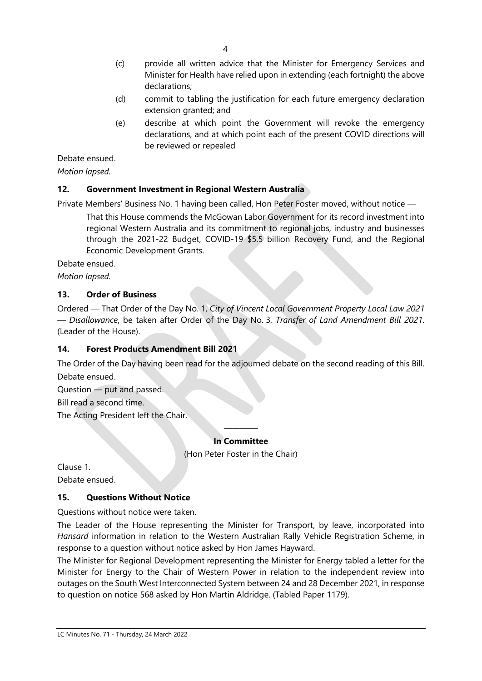- (c) provide all written advice that the Minister for Emergency Services and Minister for Health have relied upon in extending (each fortnight) the above declarations;
- (d) commit to tabling the justification for each future emergency declaration extension granted; and
- (e) describe at which point the Government will revoke the emergency declarations, and at which point each of the present COVID directions will be reviewed or repealed

Debate ensued.

*Motion lapsed.*

## **12. Government Investment in Regional Western Australia**

Private Members' Business No. 1 having been called, Hon Peter Foster moved, without notice —

That this House commends the McGowan Labor Government for its record investment into regional Western Australia and its commitment to regional jobs, industry and businesses through the 2021-22 Budget, COVID-19 \$5.5 billion Recovery Fund, and the Regional Economic Development Grants.

Debate ensued.

*Motion lapsed.*

#### **13. Order of Business**

Ordered — That Order of the Day No. 1, *City of Vincent Local Government Property Local Law 2021 — Disallowance*, be taken after Order of the Day No. 3, *Transfer of Land Amendment Bill 2021*. (Leader of the House).

## **14. Forest Products Amendment Bill 2021**

The Order of the Day having been read for the adjourned debate on the second reading of this Bill. Debate ensued.

Question — put and passed.

Bill read a second time.

The Acting President left the Chair.

#### ———— **In Committee**

(Hon Peter Foster in the Chair)

Clause 1. Debate ensued.

## **15. Questions Without Notice**

Questions without notice were taken.

The Leader of the House representing the Minister for Transport, by leave, incorporated into *Hansard* information in relation to the Western Australian Rally Vehicle Registration Scheme, in response to a question without notice asked by Hon James Hayward.

The Minister for Regional Development representing the Minister for Energy tabled a letter for the Minister for Energy to the Chair of Western Power in relation to the independent review into outages on the South West Interconnected System between 24 and 28 December 2021, in response to question on notice 568 asked by Hon Martin Aldridge. (Tabled Paper 1179).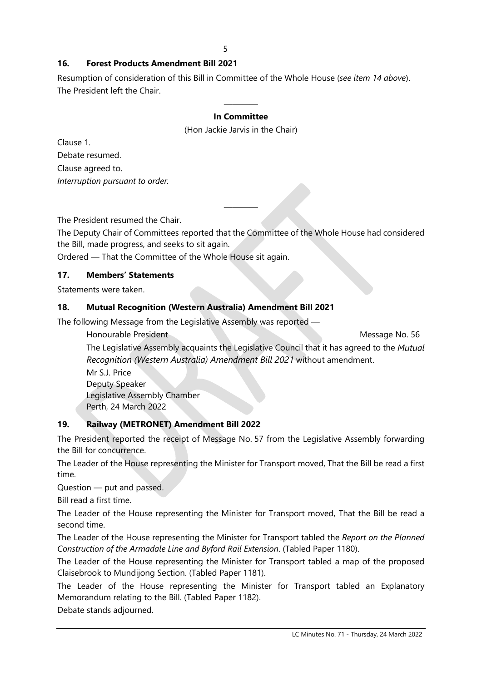## **16. Forest Products Amendment Bill 2021**

Resumption of consideration of this Bill in Committee of the Whole House (*see item 14 above*). The President left the Chair.

#### ———— **In Committee**

(Hon Jackie Jarvis in the Chair)

Clause 1. Debate resumed. Clause agreed to. *Interruption pursuant to order.*

The President resumed the Chair.

The Deputy Chair of Committees reported that the Committee of the Whole House had considered the Bill, made progress, and seeks to sit again.

————

Ordered — That the Committee of the Whole House sit again.

#### **17. Members' Statements**

Statements were taken.

#### **18. Mutual Recognition (Western Australia) Amendment Bill 2021**

The following Message from the Legislative Assembly was reported —

Honourable President Message No. 56

The Legislative Assembly acquaints the Legislative Council that it has agreed to the *Mutual Recognition (Western Australia) Amendment Bill 2021* without amendment.

Mr S.J. Price Deputy Speaker Legislative Assembly Chamber Perth, 24 March 2022

## **19. Railway (METRONET) Amendment Bill 2022**

The President reported the receipt of Message No. 57 from the Legislative Assembly forwarding the Bill for concurrence.

The Leader of the House representing the Minister for Transport moved, That the Bill be read a first time.

Question — put and passed.

Bill read a first time.

The Leader of the House representing the Minister for Transport moved, That the Bill be read a second time.

The Leader of the House representing the Minister for Transport tabled the *Report on the Planned Construction of the Armadale Line and Byford Rail Extension*. (Tabled Paper 1180).

The Leader of the House representing the Minister for Transport tabled a map of the proposed Claisebrook to Mundijong Section. (Tabled Paper 1181).

The Leader of the House representing the Minister for Transport tabled an Explanatory Memorandum relating to the Bill. (Tabled Paper 1182).

Debate stands adjourned.